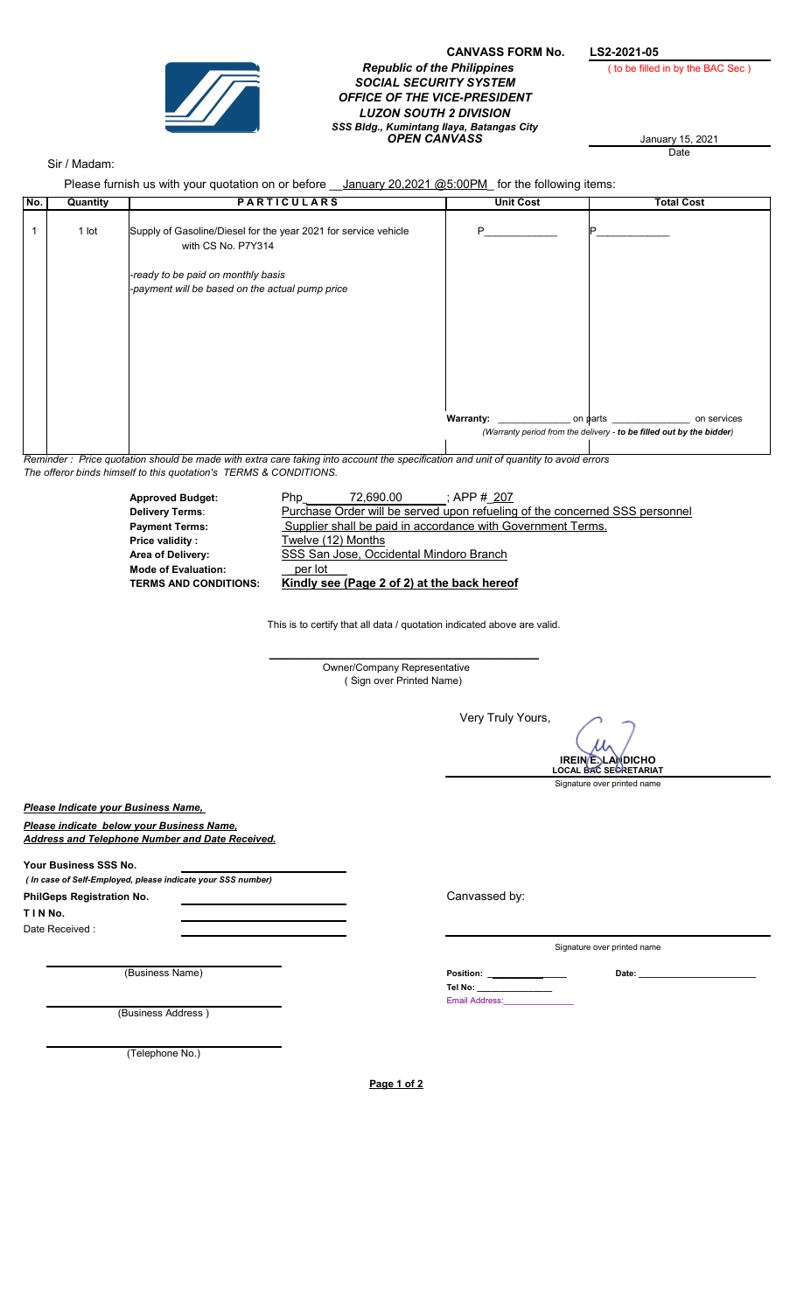

## CANVASS FORM No. LS2-2021-05<br>e Philippines (to be filled in by the BAC Sec) **Republic of the Philippines** SOCIAL SECURITY SYSTEM OFFICE OF THE VICE-PRESIDENT LUZON SOUTH 2 DIVISION **OPEN CANVASS** January 15, 2021 SSS Bldg., Kumintang Ilaya, Batangas City

January 15, 2021<br>Date

## Sir / Madam:

| No.                              | Please furnish us with your quotation on or before _ January 20,2021 @5:00PM for the following items:<br><b>PARTICULARS</b><br>Quantity |                                                                                       |                                                                                                                                     | <b>Unit Cost</b>                     | <b>Total Cost</b>                                                    |
|----------------------------------|-----------------------------------------------------------------------------------------------------------------------------------------|---------------------------------------------------------------------------------------|-------------------------------------------------------------------------------------------------------------------------------------|--------------------------------------|----------------------------------------------------------------------|
|                                  |                                                                                                                                         |                                                                                       |                                                                                                                                     |                                      |                                                                      |
| $\mathbf{1}$                     | 1 lot                                                                                                                                   | Supply of Gasoline/Diesel for the year 2021 for service vehicle<br>with CS No. P7Y314 |                                                                                                                                     | P                                    | Þ                                                                    |
|                                  |                                                                                                                                         |                                                                                       |                                                                                                                                     |                                      |                                                                      |
|                                  |                                                                                                                                         | -ready to be paid on monthly basis                                                    |                                                                                                                                     |                                      |                                                                      |
|                                  |                                                                                                                                         | -payment will be based on the actual pump price                                       |                                                                                                                                     |                                      |                                                                      |
|                                  |                                                                                                                                         |                                                                                       |                                                                                                                                     |                                      |                                                                      |
|                                  |                                                                                                                                         |                                                                                       |                                                                                                                                     |                                      |                                                                      |
|                                  |                                                                                                                                         |                                                                                       |                                                                                                                                     |                                      |                                                                      |
|                                  |                                                                                                                                         |                                                                                       |                                                                                                                                     |                                      |                                                                      |
|                                  |                                                                                                                                         |                                                                                       |                                                                                                                                     |                                      |                                                                      |
|                                  |                                                                                                                                         |                                                                                       |                                                                                                                                     | <b>Warranty:</b>                     | on parts on services                                                 |
|                                  |                                                                                                                                         |                                                                                       |                                                                                                                                     |                                      | (Warranty period from the delivery - to be filled out by the bidder) |
|                                  |                                                                                                                                         |                                                                                       | Reminder: Price quotation should be made with extra care taking into account the specification and unit of quantity to avoid errors |                                      |                                                                      |
|                                  |                                                                                                                                         | The offeror binds himself to this quotation's TERMS & CONDITIONS.                     |                                                                                                                                     |                                      |                                                                      |
|                                  |                                                                                                                                         | <b>Approved Budget:</b>                                                               |                                                                                                                                     | 72,690.00 ; APP # 207                |                                                                      |
|                                  |                                                                                                                                         | <b>Delivery Terms:</b>                                                                | Purchase Order will be served upon refueling of the concerned SSS personnel                                                         |                                      |                                                                      |
|                                  |                                                                                                                                         | <b>Payment Terms:</b>                                                                 | Supplier shall be paid in accordance with Government Terms.                                                                         |                                      |                                                                      |
|                                  | Twelve (12) Months<br><b>Price validity:</b><br>Area of Delivery:                                                                       |                                                                                       |                                                                                                                                     |                                      |                                                                      |
|                                  | SSS San Jose, Occidental Mindoro Branch<br>per lot<br><b>Mode of Evaluation:</b>                                                        |                                                                                       |                                                                                                                                     |                                      |                                                                      |
|                                  |                                                                                                                                         | <b>TERMS AND CONDITIONS:</b>                                                          | Kindly see (Page 2 of 2) at the back hereof                                                                                         |                                      |                                                                      |
|                                  |                                                                                                                                         |                                                                                       |                                                                                                                                     |                                      |                                                                      |
|                                  |                                                                                                                                         |                                                                                       | This is to certify that all data / quotation indicated above are valid.                                                             |                                      |                                                                      |
|                                  |                                                                                                                                         |                                                                                       | Owner/Company Representative                                                                                                        |                                      |                                                                      |
|                                  |                                                                                                                                         |                                                                                       | (Sign over Printed Name)                                                                                                            |                                      |                                                                      |
|                                  |                                                                                                                                         |                                                                                       |                                                                                                                                     |                                      |                                                                      |
|                                  |                                                                                                                                         |                                                                                       |                                                                                                                                     | Very Truly Yours,                    |                                                                      |
|                                  |                                                                                                                                         |                                                                                       |                                                                                                                                     |                                      |                                                                      |
|                                  |                                                                                                                                         |                                                                                       |                                                                                                                                     |                                      | <b>IREINE</b> L                                                      |
|                                  |                                                                                                                                         |                                                                                       |                                                                                                                                     |                                      | <b>LOCAL BAC SECRETARIAT</b><br>Signature over printed name          |
|                                  |                                                                                                                                         | Please Indicate your Business Name,                                                   |                                                                                                                                     |                                      |                                                                      |
|                                  |                                                                                                                                         | Please indicate below your Business Name.                                             |                                                                                                                                     |                                      |                                                                      |
|                                  |                                                                                                                                         | Address and Telephone Number and Date Received.                                       |                                                                                                                                     |                                      |                                                                      |
|                                  |                                                                                                                                         |                                                                                       |                                                                                                                                     |                                      |                                                                      |
|                                  | Your Business SSS No.                                                                                                                   | ( In case of Self-Employed, please indicate your SSS number)                          |                                                                                                                                     |                                      |                                                                      |
| <b>PhilGeps Registration No.</b> |                                                                                                                                         |                                                                                       |                                                                                                                                     | Canvassed by:                        |                                                                      |
| TINNo.                           |                                                                                                                                         |                                                                                       |                                                                                                                                     |                                      |                                                                      |
|                                  | Date Received:                                                                                                                          |                                                                                       |                                                                                                                                     |                                      |                                                                      |
|                                  |                                                                                                                                         |                                                                                       |                                                                                                                                     |                                      | Signature over printed name                                          |
|                                  |                                                                                                                                         | (Business Name)                                                                       |                                                                                                                                     |                                      |                                                                      |
|                                  |                                                                                                                                         |                                                                                       |                                                                                                                                     | Tel No: _______________              |                                                                      |
|                                  |                                                                                                                                         | (Business Address)                                                                    |                                                                                                                                     | Email Address: <b>Email Address:</b> |                                                                      |
|                                  |                                                                                                                                         |                                                                                       |                                                                                                                                     |                                      |                                                                      |
|                                  |                                                                                                                                         | (Telephone No.)                                                                       |                                                                                                                                     |                                      |                                                                      |
|                                  |                                                                                                                                         |                                                                                       |                                                                                                                                     |                                      |                                                                      |
|                                  |                                                                                                                                         |                                                                                       | Page 1 of 2                                                                                                                         |                                      |                                                                      |
|                                  |                                                                                                                                         |                                                                                       |                                                                                                                                     |                                      |                                                                      |
|                                  |                                                                                                                                         |                                                                                       |                                                                                                                                     |                                      |                                                                      |
|                                  |                                                                                                                                         |                                                                                       |                                                                                                                                     |                                      |                                                                      |